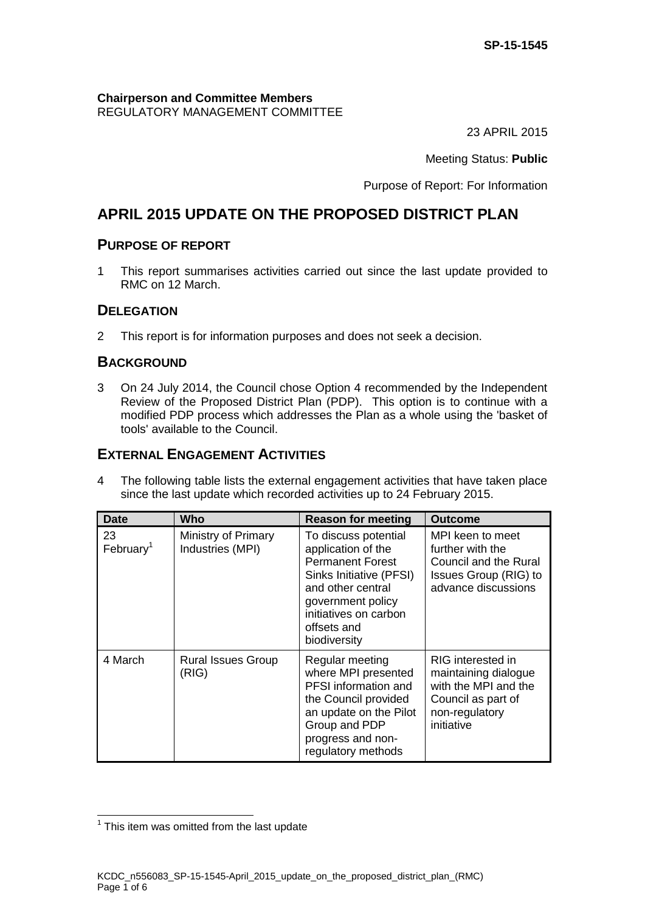#### **Chairperson and Committee Members** REGULATORY MANAGEMENT COMMITTEE

23 APRIL 2015

Meeting Status: **Public**

Purpose of Report: For Information

# **APRIL 2015 UPDATE ON THE PROPOSED DISTRICT PLAN**

### **PURPOSE OF REPORT**

1 This report summarises activities carried out since the last update provided to RMC on 12 March.

### **DELEGATION**

2 This report is for information purposes and does not seek a decision.

### **BACKGROUND**

3 On 24 July 2014, the Council chose Option 4 recommended by the Independent Review of the Proposed District Plan (PDP). This option is to continue with a modified PDP process which addresses the Plan as a whole using the 'basket of tools' available to the Council.

### **EXTERNAL ENGAGEMENT ACTIVITIES**

4 The following table lists the external engagement activities that have taken place since the last update which recorded activities up to 24 February 2015.

| <b>Date</b>                 | Who                                     | <b>Reason for meeting</b>                                                                                                                                                                          | <b>Outcome</b>                                                                                                          |
|-----------------------------|-----------------------------------------|----------------------------------------------------------------------------------------------------------------------------------------------------------------------------------------------------|-------------------------------------------------------------------------------------------------------------------------|
| 23<br>February <sup>1</sup> | Ministry of Primary<br>Industries (MPI) | To discuss potential<br>application of the<br><b>Permanent Forest</b><br>Sinks Initiative (PFSI)<br>and other central<br>government policy<br>initiatives on carbon<br>offsets and<br>biodiversity | MPI keen to meet<br>further with the<br>Council and the Rural<br>Issues Group (RIG) to<br>advance discussions           |
| 4 March                     | <b>Rural Issues Group</b><br>(RIG)      | Regular meeting<br>where MPI presented<br><b>PFSI</b> information and<br>the Council provided<br>an update on the Pilot<br>Group and PDP<br>progress and non-<br>regulatory methods                | RIG interested in<br>maintaining dialogue<br>with the MPI and the<br>Council as part of<br>non-regulatory<br>initiative |

 1 This item was omitted from the last update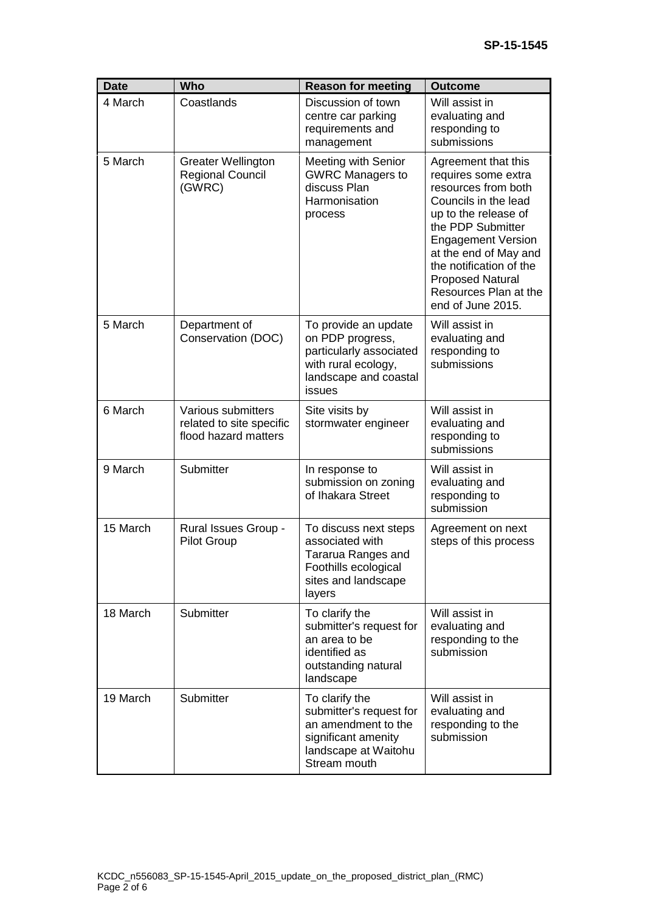| <b>Date</b> | <b>Who</b>                                                             | <b>Reason for meeting</b>                                                                                                       | <b>Outcome</b>                                                                                                                                                                                                                                                                                   |
|-------------|------------------------------------------------------------------------|---------------------------------------------------------------------------------------------------------------------------------|--------------------------------------------------------------------------------------------------------------------------------------------------------------------------------------------------------------------------------------------------------------------------------------------------|
| 4 March     | Coastlands                                                             | Discussion of town<br>centre car parking<br>requirements and<br>management                                                      | Will assist in<br>evaluating and<br>responding to<br>submissions                                                                                                                                                                                                                                 |
| 5 March     | <b>Greater Wellington</b><br><b>Regional Council</b><br>(GWRC)         | <b>Meeting with Senior</b><br><b>GWRC Managers to</b><br>discuss Plan<br>Harmonisation<br>process                               | Agreement that this<br>requires some extra<br>resources from both<br>Councils in the lead<br>up to the release of<br>the PDP Submitter<br><b>Engagement Version</b><br>at the end of May and<br>the notification of the<br><b>Proposed Natural</b><br>Resources Plan at the<br>end of June 2015. |
| 5 March     | Department of<br>Conservation (DOC)                                    | To provide an update<br>on PDP progress,<br>particularly associated<br>with rural ecology,<br>landscape and coastal<br>issues   | Will assist in<br>evaluating and<br>responding to<br>submissions                                                                                                                                                                                                                                 |
| 6 March     | Various submitters<br>related to site specific<br>flood hazard matters | Site visits by<br>stormwater engineer                                                                                           | Will assist in<br>evaluating and<br>responding to<br>submissions                                                                                                                                                                                                                                 |
| 9 March     | Submitter                                                              | In response to<br>submission on zoning<br>of Ihakara Street                                                                     | Will assist in<br>evaluating and<br>responding to<br>submission                                                                                                                                                                                                                                  |
| 15 March    | Rural Issues Group -<br><b>Pilot Group</b>                             | To discuss next steps<br>associated with<br>Tararua Ranges and<br>Foothills ecological<br>sites and landscape<br>layers         | Agreement on next<br>steps of this process                                                                                                                                                                                                                                                       |
| 18 March    | Submitter                                                              | To clarify the<br>submitter's request for<br>an area to be<br>identified as<br>outstanding natural<br>landscape                 | Will assist in<br>evaluating and<br>responding to the<br>submission                                                                                                                                                                                                                              |
| 19 March    | Submitter                                                              | To clarify the<br>submitter's request for<br>an amendment to the<br>significant amenity<br>landscape at Waitohu<br>Stream mouth | Will assist in<br>evaluating and<br>responding to the<br>submission                                                                                                                                                                                                                              |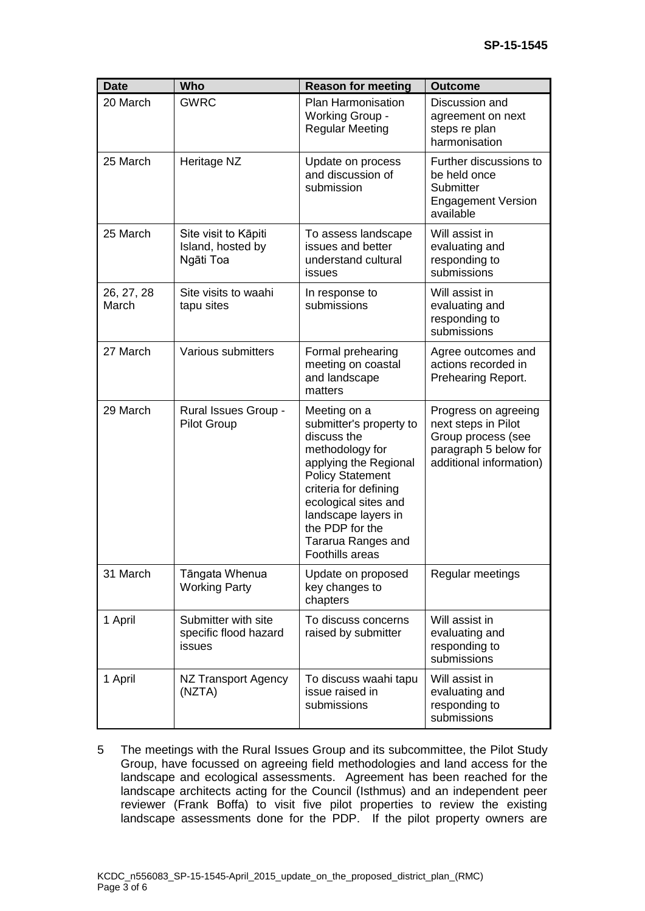| <b>Date</b>         | <b>Who</b>                                             | <b>Reason for meeting</b>                                                                                                                                                                                                                                         | <b>Outcome</b>                                                                                                        |
|---------------------|--------------------------------------------------------|-------------------------------------------------------------------------------------------------------------------------------------------------------------------------------------------------------------------------------------------------------------------|-----------------------------------------------------------------------------------------------------------------------|
| 20 March            | <b>GWRC</b>                                            | Plan Harmonisation<br>Working Group -<br><b>Regular Meeting</b>                                                                                                                                                                                                   | Discussion and<br>agreement on next<br>steps re plan<br>harmonisation                                                 |
| 25 March            | Heritage NZ                                            | Update on process<br>and discussion of<br>submission                                                                                                                                                                                                              | Further discussions to<br>be held once<br>Submitter<br><b>Engagement Version</b><br>available                         |
| 25 March            | Site visit to Kāpiti<br>Island, hosted by<br>Ngāti Toa | To assess landscape<br>issues and better<br>understand cultural<br>issues                                                                                                                                                                                         | Will assist in<br>evaluating and<br>responding to<br>submissions                                                      |
| 26, 27, 28<br>March | Site visits to waahi<br>tapu sites                     | In response to<br>submissions                                                                                                                                                                                                                                     | Will assist in<br>evaluating and<br>responding to<br>submissions                                                      |
| 27 March            | Various submitters                                     | Formal prehearing<br>meeting on coastal<br>and landscape<br>matters                                                                                                                                                                                               | Agree outcomes and<br>actions recorded in<br>Prehearing Report.                                                       |
| 29 March            | Rural Issues Group -<br><b>Pilot Group</b>             | Meeting on a<br>submitter's property to<br>discuss the<br>methodology for<br>applying the Regional<br><b>Policy Statement</b><br>criteria for defining<br>ecological sites and<br>landscape layers in<br>the PDP for the<br>Tararua Ranges and<br>Foothills areas | Progress on agreeing<br>next steps in Pilot<br>Group process (see<br>paragraph 5 below for<br>additional information) |
| 31 March            | Tāngata Whenua<br><b>Working Party</b>                 | Update on proposed<br>key changes to<br>chapters                                                                                                                                                                                                                  | Regular meetings                                                                                                      |
| 1 April             | Submitter with site<br>specific flood hazard<br>issues | To discuss concerns<br>raised by submitter                                                                                                                                                                                                                        | Will assist in<br>evaluating and<br>responding to<br>submissions                                                      |
| 1 April             | NZ Transport Agency<br>(NZTA)                          | To discuss waahi tapu<br>issue raised in<br>submissions                                                                                                                                                                                                           | Will assist in<br>evaluating and<br>responding to<br>submissions                                                      |

5 The meetings with the Rural Issues Group and its subcommittee, the Pilot Study Group, have focussed on agreeing field methodologies and land access for the landscape and ecological assessments. Agreement has been reached for the landscape architects acting for the Council (Isthmus) and an independent peer reviewer (Frank Boffa) to visit five pilot properties to review the existing landscape assessments done for the PDP. If the pilot property owners are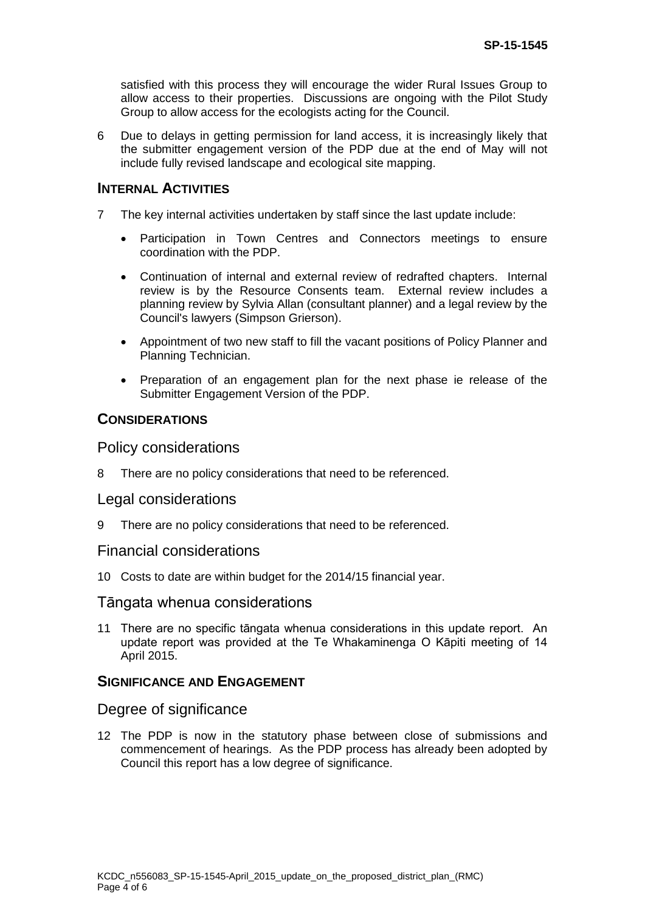satisfied with this process they will encourage the wider Rural Issues Group to allow access to their properties. Discussions are ongoing with the Pilot Study Group to allow access for the ecologists acting for the Council.

6 Due to delays in getting permission for land access, it is increasingly likely that the submitter engagement version of the PDP due at the end of May will not include fully revised landscape and ecological site mapping.

#### **INTERNAL ACTIVITIES**

- 7 The key internal activities undertaken by staff since the last update include:
	- Participation in Town Centres and Connectors meetings to ensure coordination with the PDP.
	- Continuation of internal and external review of redrafted chapters. Internal review is by the Resource Consents team. External review includes a planning review by Sylvia Allan (consultant planner) and a legal review by the Council's lawyers (Simpson Grierson).
	- Appointment of two new staff to fill the vacant positions of Policy Planner and Planning Technician.
	- Preparation of an engagement plan for the next phase ie release of the Submitter Engagement Version of the PDP.

#### **CONSIDERATIONS**

#### Policy considerations

8 There are no policy considerations that need to be referenced.

#### Legal considerations

9 There are no policy considerations that need to be referenced.

#### Financial considerations

10 Costs to date are within budget for the 2014/15 financial year.

#### Tāngata whenua considerations

11 There are no specific tāngata whenua considerations in this update report. An update report was provided at the Te Whakaminenga O Kāpiti meeting of 14 April 2015.

#### **SIGNIFICANCE AND ENGAGEMENT**

#### Degree of significance

12 The PDP is now in the statutory phase between close of submissions and commencement of hearings. As the PDP process has already been adopted by Council this report has a low degree of significance.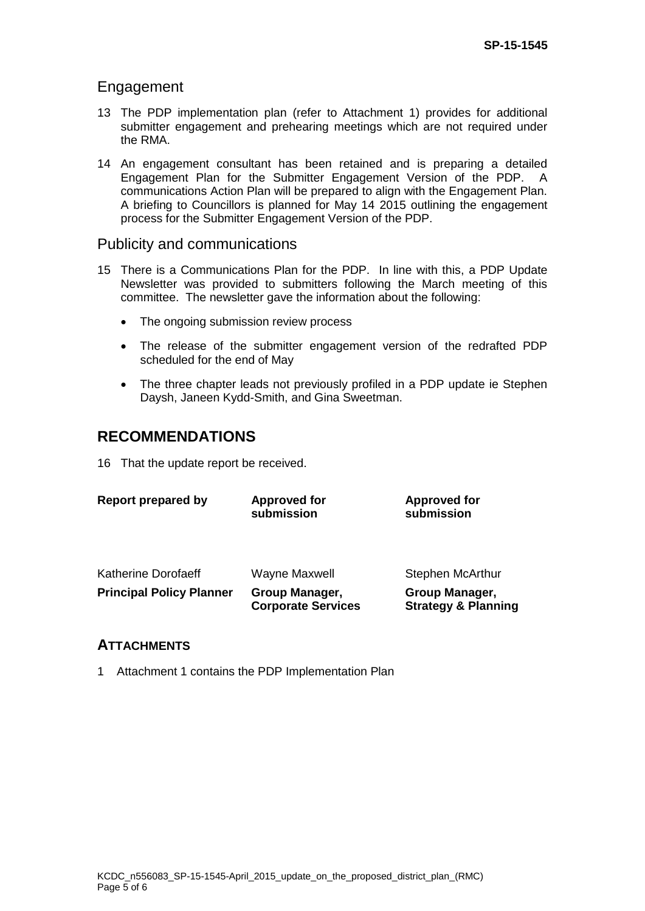### Engagement

- 13 The PDP implementation plan (refer to Attachment 1) provides for additional submitter engagement and prehearing meetings which are not required under the RMA.
- 14 An engagement consultant has been retained and is preparing a detailed Engagement Plan for the Submitter Engagement Version of the PDP. A communications Action Plan will be prepared to align with the Engagement Plan. A briefing to Councillors is planned for May 14 2015 outlining the engagement process for the Submitter Engagement Version of the PDP.

### Publicity and communications

- 15 There is a Communications Plan for the PDP. In line with this, a PDP Update Newsletter was provided to submitters following the March meeting of this committee. The newsletter gave the information about the following:
	- The ongoing submission review process
	- The release of the submitter engagement version of the redrafted PDP scheduled for the end of May
	- The three chapter leads not previously profiled in a PDP update ie Stephen Daysh, Janeen Kydd-Smith, and Gina Sweetman.

## **RECOMMENDATIONS**

16 That the update report be received.

| <b>Report prepared by</b>       | <b>Approved for</b><br>submission           | <b>Approved for</b><br>submission                |
|---------------------------------|---------------------------------------------|--------------------------------------------------|
| <b>Katherine Dorofaeff</b>      | <b>Wayne Maxwell</b>                        | <b>Stephen McArthur</b>                          |
| <b>Principal Policy Planner</b> | Group Manager,<br><b>Corporate Services</b> | Group Manager,<br><b>Strategy &amp; Planning</b> |

### **ATTACHMENTS**

1 Attachment 1 contains the PDP Implementation Plan